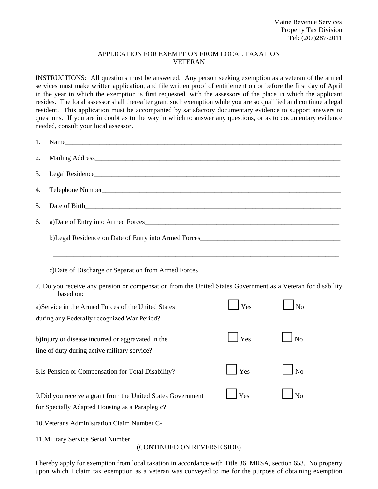## APPLICATION FOR EXEMPTION FROM LOCAL TAXATION VETERAN

INSTRUCTIONS: All questions must be answered. Any person seeking exemption as a veteran of the armed services must make written application, and file written proof of entitlement on or before the first day of April in the year in which the exemption is first requested, with the assessors of the place in which the applicant resides. The local assessor shall thereafter grant such exemption while you are so qualified and continue a legal resident. This application must be accompanied by satisfactory documentary evidence to support answers to questions. If you are in doubt as to the way in which to answer any questions, or as to documentary evidence needed, consult your local assessor.

| 1.                                                                |                                                                                                                          |     |                |  |
|-------------------------------------------------------------------|--------------------------------------------------------------------------------------------------------------------------|-----|----------------|--|
| 2.                                                                |                                                                                                                          |     |                |  |
| 3.                                                                |                                                                                                                          |     |                |  |
| 4.                                                                |                                                                                                                          |     |                |  |
| 5.                                                                |                                                                                                                          |     |                |  |
| 6.                                                                | a)Date of Entry into Armed Forces                                                                                        |     |                |  |
|                                                                   | b)Legal Residence on Date of Entry into Armed Forces                                                                     |     |                |  |
|                                                                   |                                                                                                                          |     |                |  |
|                                                                   | 7. Do you receive any pension or compensation from the United States Government as a Veteran for disability<br>based on: |     |                |  |
|                                                                   | a) Service in the Armed Forces of the United States<br>during any Federally recognized War Period?                       | Yes | No             |  |
|                                                                   | b) Injury or disease incurred or aggravated in the<br>line of duty during active military service?                       | Yes | N <sub>o</sub> |  |
|                                                                   | 8.Is Pension or Compensation for Total Disability?                                                                       | Yes | N <sub>o</sub> |  |
|                                                                   | 9. Did you receive a grant from the United States Government<br>for Specially Adapted Housing as a Paraplegic?           | Yes | No             |  |
|                                                                   | 10. Veterans Administration Claim Number C-                                                                              |     |                |  |
| 11. Military Service Serial Number<br>(CONTINUED ON REVERSE SIDE) |                                                                                                                          |     |                |  |

I hereby apply for exemption from local taxation in accordance with Title 36, MRSA, section 653. No property upon which I claim tax exemption as a veteran was conveyed to me for the purpose of obtaining exemption